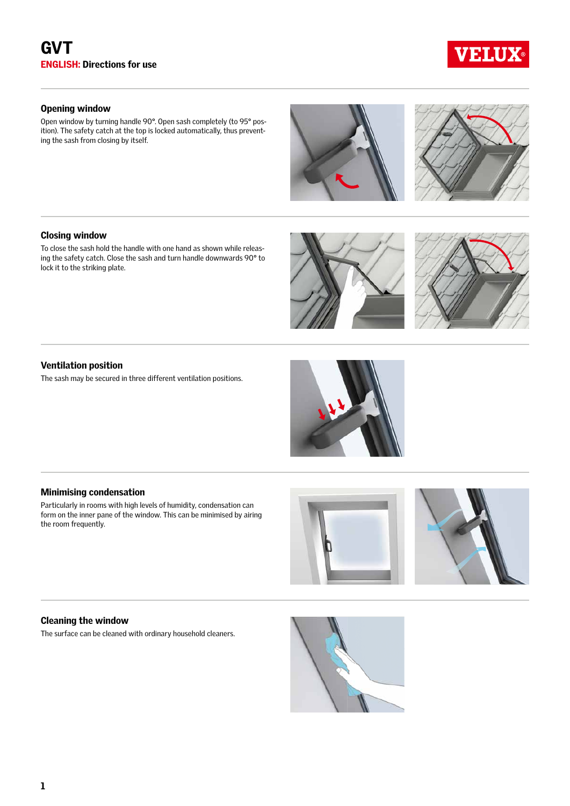

### Opening window

Open window by turning handle 90°. Open sash completely (to 95° position). The safety catch at the top is locked automatically, thus preventing the sash from closing by itself.





### Closing window

To close the sash hold the handle with one hand as shown while releasing the safety catch. Close the sash and turn handle downwards 90° to lock it to the striking plate.





## Ventilation position

The sash may be secured in three different ventilation positions.





particularly in rooms with high levels of humidity, condensation can form on the inner pane of the window. This can be minimised by airing the room frequently.

# Cleaning the window

The surface can be cleaned with ordinary household cleaners.